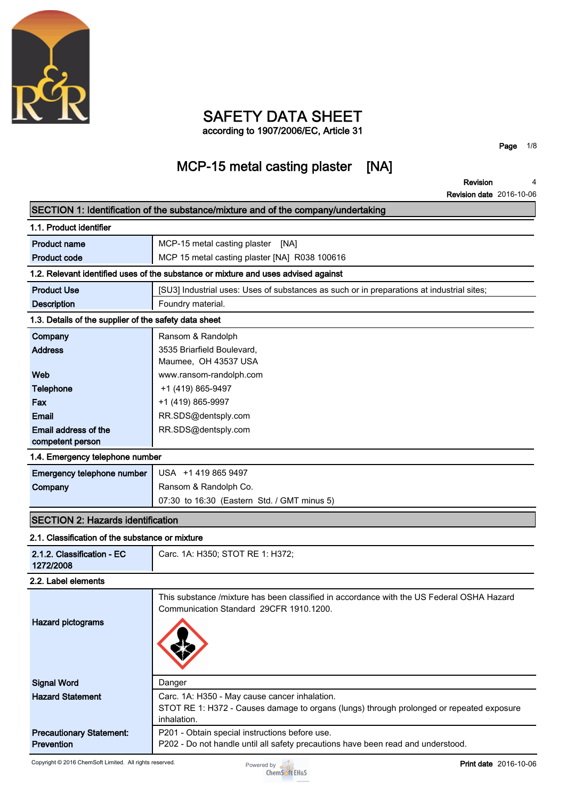

### **SAFETY DATA SHEET according to 1907/2006/EC, Article 31**

**Page 1/8**

## **MCP-15 metal casting plaster [NA]**

**Revision Revision date 2016-10-06 4**

|                                                       | SECTION 1: Identification of the substance/mixture and of the company/undertaking                                                                        |
|-------------------------------------------------------|----------------------------------------------------------------------------------------------------------------------------------------------------------|
| 1.1. Product identifier                               |                                                                                                                                                          |
| <b>Product name</b>                                   | MCP-15 metal casting plaster<br>[NA]                                                                                                                     |
| <b>Product code</b>                                   | MCP 15 metal casting plaster [NA] R038 100616                                                                                                            |
|                                                       | 1.2. Relevant identified uses of the substance or mixture and uses advised against                                                                       |
| <b>Product Use</b>                                    | [SU3] Industrial uses: Uses of substances as such or in preparations at industrial sites;                                                                |
| <b>Description</b>                                    | Foundry material.                                                                                                                                        |
| 1.3. Details of the supplier of the safety data sheet |                                                                                                                                                          |
| Company                                               | Ransom & Randolph                                                                                                                                        |
| <b>Address</b>                                        | 3535 Briarfield Boulevard,<br>Maumee, OH 43537 USA                                                                                                       |
| Web                                                   | www.ransom-randolph.com                                                                                                                                  |
| <b>Telephone</b>                                      | +1 (419) 865-9497                                                                                                                                        |
| Fax                                                   | +1 (419) 865-9997                                                                                                                                        |
| Email                                                 | RR.SDS@dentsply.com                                                                                                                                      |
| Email address of the<br>competent person              | RR.SDS@dentsply.com                                                                                                                                      |
| 1.4. Emergency telephone number                       |                                                                                                                                                          |
| Emergency telephone number                            | USA +1 419 865 9497                                                                                                                                      |
| Company                                               | Ransom & Randolph Co.                                                                                                                                    |
|                                                       | 07:30 to 16:30 (Eastern Std. / GMT minus 5)                                                                                                              |
| <b>SECTION 2: Hazards identification</b>              |                                                                                                                                                          |
| 2.1. Classification of the substance or mixture       |                                                                                                                                                          |
| 2.1.2. Classification - EC<br>1272/2008               | Carc. 1A: H350; STOT RE 1: H372;                                                                                                                         |
| 2.2. Label elements                                   |                                                                                                                                                          |
| <b>Hazard pictograms</b>                              | This substance /mixture has been classified in accordance with the US Federal OSHA Hazard<br>Communication Standard 29CFR 1910.1200.                     |
| <b>Signal Word</b>                                    | Danger                                                                                                                                                   |
| <b>Hazard Statement</b>                               | Carc. 1A: H350 - May cause cancer inhalation.<br>STOT RE 1: H372 - Causes damage to organs (lungs) through prolonged or repeated exposure<br>inhalation. |
| <b>Precautionary Statement:</b><br>Prevention         | P201 - Obtain special instructions before use.<br>P202 - Do not handle until all safety precautions have been read and understood.                       |

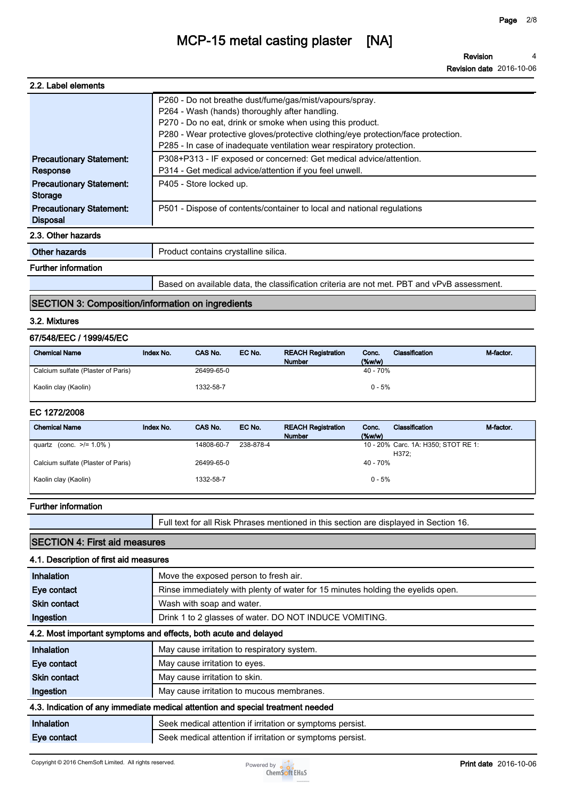**Revision Revision date 2016-10-06 4**

| 2.2. Label elements                                |                                                                                                                                                                                                                                                                                                                                      |
|----------------------------------------------------|--------------------------------------------------------------------------------------------------------------------------------------------------------------------------------------------------------------------------------------------------------------------------------------------------------------------------------------|
|                                                    | P260 - Do not breathe dust/fume/gas/mist/vapours/spray.<br>P264 - Wash (hands) thoroughly after handling.<br>P270 - Do no eat, drink or smoke when using this product.<br>P280 - Wear protective gloves/protective clothing/eye protection/face protection.<br>P285 - In case of inadequate ventilation wear respiratory protection. |
| <b>Precautionary Statement:</b><br>Response        | P308+P313 - IF exposed or concerned: Get medical advice/attention.<br>P314 - Get medical advice/attention if you feel unwell.                                                                                                                                                                                                        |
| <b>Precautionary Statement:</b><br><b>Storage</b>  | P405 - Store locked up.                                                                                                                                                                                                                                                                                                              |
| <b>Precautionary Statement:</b><br><b>Disposal</b> | P501 - Dispose of contents/container to local and national regulations                                                                                                                                                                                                                                                               |
| 2.3. Other hazards                                 |                                                                                                                                                                                                                                                                                                                                      |
| Other hazards                                      | Product contains crystalline silica.                                                                                                                                                                                                                                                                                                 |
| <b>Further information</b>                         |                                                                                                                                                                                                                                                                                                                                      |
|                                                    | Based on available data, the classification criteria are not met. PBT and vPvB assessment.                                                                                                                                                                                                                                           |

### **SECTION 3: Composition/information on ingredients**

#### **3.2. Mixtures**

### **67/548/EEC / 1999/45/EC**

| <b>Chemical Name</b>               | Index No. | <b>CAS No.</b> | EC No. | <b>REACH Registration</b><br><b>Number</b> | Conc.<br>$($ %w/w $)$ | Classification | M-factor. |
|------------------------------------|-----------|----------------|--------|--------------------------------------------|-----------------------|----------------|-----------|
| Calcium sulfate (Plaster of Paris) |           | 26499-65-0     |        |                                            | 40 - 70%              |                |           |
| Kaolin clay (Kaolin)               |           | 1332-58-7      |        |                                            | $0 - 5%$              |                |           |

### **EC 1272/2008**

| Index No. | CAS No.    | EC No.    | <b>REACH Registration</b> | Conc.        | Classification | M-factor.                                                     |
|-----------|------------|-----------|---------------------------|--------------|----------------|---------------------------------------------------------------|
|           |            |           | <b>Number</b>             | $($ %w/w $)$ |                |                                                               |
|           | 14808-60-7 | 238-878-4 |                           |              |                |                                                               |
|           |            |           |                           |              | H372:          |                                                               |
|           | 26499-65-0 |           |                           |              |                |                                                               |
|           |            |           |                           |              |                |                                                               |
|           | 1332-58-7  |           |                           |              |                |                                                               |
|           |            |           |                           |              |                | 10 - 20% Carc. 1A: H350; STOT RE 1:<br>$40 - 70%$<br>$0 - 5%$ |

#### **Further information**

**Full text for all Risk Phrases mentioned in this section are displayed in Section 16.**

### **SECTION 4: First aid measures**

### **4.1. Description of first aid measures**

| Inhalation          | Move the exposed person to fresh air.                                           |
|---------------------|---------------------------------------------------------------------------------|
| Eye contact         | Rinse immediately with plenty of water for 15 minutes holding the eyelids open. |
| <b>Skin contact</b> | Wash with soap and water.                                                       |
| Ingestion           | Drink 1 to 2 glasses of water. DO NOT INDUCE VOMITING.                          |
|                     | 4.2. Most important symptoms and effects, both acute and delayed                |
| Inhalation          | May cause irritation to respiratory system.                                     |
| Eye contact         | May cause irritation to eyes.                                                   |
| <b>Skin contact</b> | May cause irritation to skin.                                                   |
| Ingestion           | May cause irritation to mucous membranes.                                       |
|                     | 4.3. Indication of any immediate medical attention and special treatment needed |
| Inhalation          | Seek medical attention if irritation or symptoms persist.                       |
| Eye contact         | Seek medical attention if irritation or symptoms persist.                       |

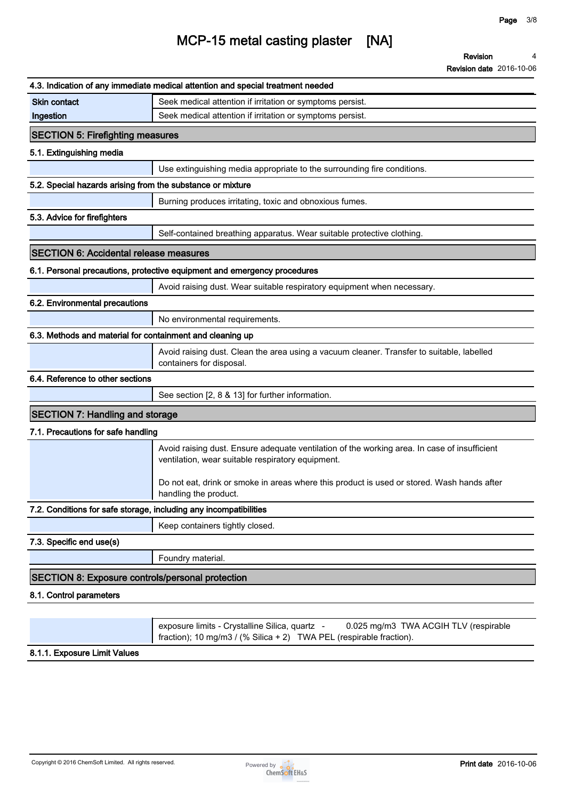|                                                                   | 4.3. Indication of any immediate medical attention and special treatment needed                                                                                |
|-------------------------------------------------------------------|----------------------------------------------------------------------------------------------------------------------------------------------------------------|
| <b>Skin contact</b>                                               | Seek medical attention if irritation or symptoms persist.                                                                                                      |
| Ingestion                                                         | Seek medical attention if irritation or symptoms persist.                                                                                                      |
| <b>SECTION 5: Firefighting measures</b>                           |                                                                                                                                                                |
| 5.1. Extinguishing media                                          |                                                                                                                                                                |
|                                                                   | Use extinguishing media appropriate to the surrounding fire conditions.                                                                                        |
| 5.2. Special hazards arising from the substance or mixture        |                                                                                                                                                                |
|                                                                   | Burning produces irritating, toxic and obnoxious fumes.                                                                                                        |
| 5.3. Advice for firefighters                                      |                                                                                                                                                                |
|                                                                   | Self-contained breathing apparatus. Wear suitable protective clothing.                                                                                         |
| <b>SECTION 6: Accidental release measures</b>                     |                                                                                                                                                                |
|                                                                   | 6.1. Personal precautions, protective equipment and emergency procedures                                                                                       |
|                                                                   | Avoid raising dust. Wear suitable respiratory equipment when necessary.                                                                                        |
| 6.2. Environmental precautions                                    |                                                                                                                                                                |
|                                                                   | No environmental requirements.                                                                                                                                 |
| 6.3. Methods and material for containment and cleaning up         |                                                                                                                                                                |
|                                                                   | Avoid raising dust. Clean the area using a vacuum cleaner. Transfer to suitable, labelled<br>containers for disposal.                                          |
| 6.4. Reference to other sections                                  |                                                                                                                                                                |
|                                                                   | See section [2, 8 & 13] for further information.                                                                                                               |
| <b>SECTION 7: Handling and storage</b>                            |                                                                                                                                                                |
| 7.1. Precautions for safe handling                                |                                                                                                                                                                |
|                                                                   | Avoid raising dust. Ensure adequate ventilation of the working area. In case of insufficient<br>ventilation, wear suitable respiratory equipment.              |
|                                                                   | Do not eat, drink or smoke in areas where this product is used or stored. Wash hands after<br>handling the product.                                            |
| 7.2. Conditions for safe storage, including any incompatibilities |                                                                                                                                                                |
|                                                                   | Keep containers tightly closed.                                                                                                                                |
| 7.3. Specific end use(s)                                          |                                                                                                                                                                |
|                                                                   | Foundry material.                                                                                                                                              |
| <b>SECTION 8: Exposure controls/personal protection</b>           |                                                                                                                                                                |
| 8.1. Control parameters                                           |                                                                                                                                                                |
|                                                                   |                                                                                                                                                                |
|                                                                   | exposure limits - Crystalline Silica, quartz -<br>0.025 mg/m3 TWA ACGIH TLV (respirable<br>fraction); 10 mg/m3 / (% Silica + 2) TWA PEL (respirable fraction). |

#### **8.1.1. Exposure Limit Values**

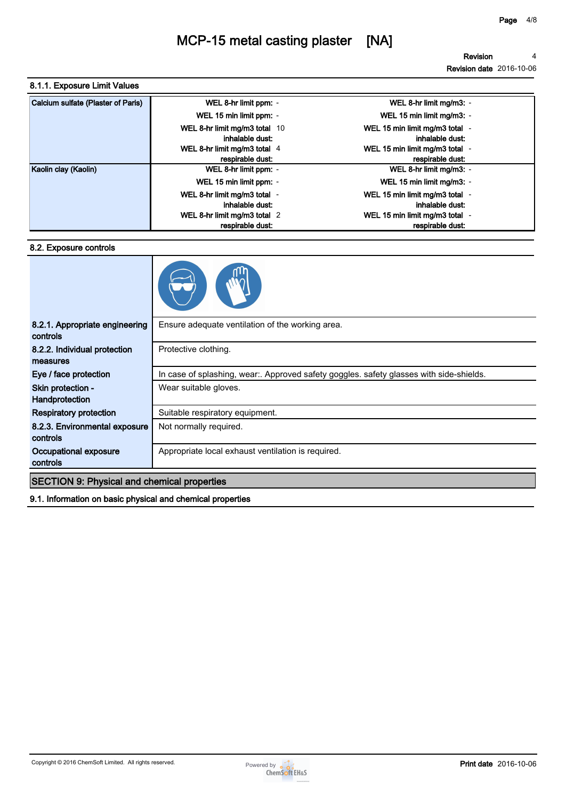### **8.1.1. Exposure Limit Values**

| Calcium sulfate (Plaster of Paris) | WEL 8-hr limit ppm: -                            | WEL 8-hr limit mg/m3: -                            |
|------------------------------------|--------------------------------------------------|----------------------------------------------------|
|                                    | WEL 15 min limit ppm: -                          | WEL 15 min limit mg/m3: -                          |
|                                    | WEL 8-hr limit mg/m3 total 10<br>inhalable dust: | WEL 15 min limit mg/m3 total -<br>inhalable dust:  |
|                                    | WEL 8-hr limit mg/m3 total 4<br>respirable dust: | WEL 15 min limit mg/m3 total -<br>respirable dust: |
| Kaolin clay (Kaolin)               | WEL 8-hr limit ppm: -                            | WEL 8-hr limit mg/m3: -                            |
|                                    | WEL 15 min limit ppm: -                          | WEL 15 min limit mg/m3: -                          |
|                                    | WEL 8-hr limit mg/m3 total -<br>inhalable dust:  | WEL 15 min limit mg/m3 total -<br>inhalable dust:  |
|                                    | WEL 8-hr limit mg/m3 total 2                     | WEL 15 min limit mg/m3 total -                     |
|                                    | respirable dust:                                 | respirable dust:                                   |

#### **8.2. Exposure controls**



| 8.2.1. Appropriate engineering<br>controls         | Ensure adequate ventilation of the working area.                                        |
|----------------------------------------------------|-----------------------------------------------------------------------------------------|
| 8.2.2. Individual protection<br>measures           | Protective clothing.                                                                    |
| Eye / face protection                              | In case of splashing, wear:. Approved safety goggles. safety glasses with side-shields. |
| Skin protection -<br>Handprotection                | Wear suitable gloves.                                                                   |
| <b>Respiratory protection</b>                      | Suitable respiratory equipment.                                                         |
| 8.2.3. Environmental exposure<br><b>controls</b>   | Not normally required.                                                                  |
| Occupational exposure<br>controls                  | Appropriate local exhaust ventilation is required.                                      |
| <b>SECTION 9: Physical and chemical properties</b> |                                                                                         |
|                                                    |                                                                                         |

**9.1. Information on basic physical and chemical properties**

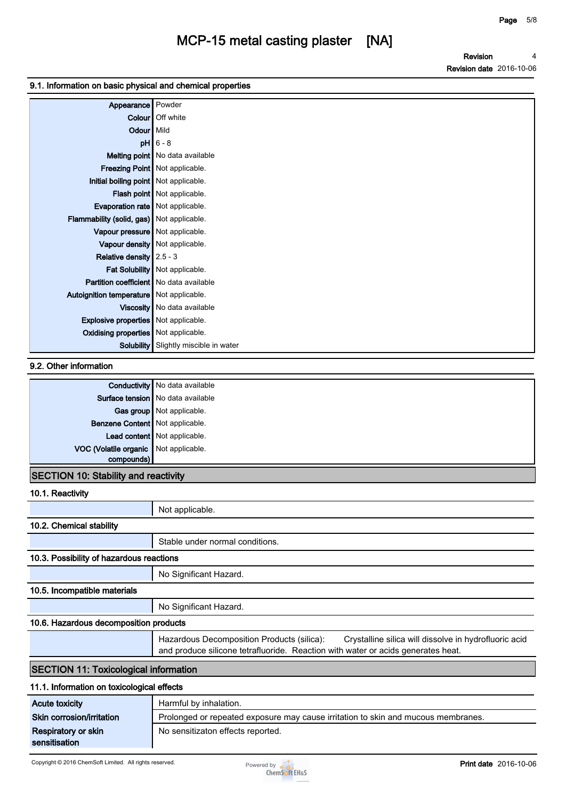**Revision Revision date 2016-10-06 4**

### **9.1. Information on basic physical and chemical properties**

| Appearance                                       | Powder                             |
|--------------------------------------------------|------------------------------------|
|                                                  | Colour   Off white                 |
| Odour Mild                                       |                                    |
|                                                  | $pH$ 6 - 8                         |
|                                                  | Melting point   No data available  |
|                                                  | Freezing Point   Not applicable.   |
| Initial boiling point   Not applicable.          |                                    |
|                                                  | <b>Flash point</b> Not applicable. |
| <b>Evaporation rate</b> Not applicable.          |                                    |
| <b>Flammability (solid, gas)</b> Not applicable. |                                    |
| Vapour pressure   Not applicable.                |                                    |
|                                                  | Vapour density   Not applicable.   |
| Relative density $2.5 - 3$                       |                                    |
|                                                  | Fat Solubility   Not applicable.   |
| Partition coefficient   No data available        |                                    |
| Autoignition temperature Not applicable.         |                                    |
|                                                  | Viscosity   No data available      |
| <b>Explosive properties</b> Not applicable.      |                                    |
| Oxidising properties   Not applicable.           |                                    |
| Solubility                                       | Slightly miscible in water         |

### **9.2. Other information**

|                                       | <b>Conductivity</b> No data available |
|---------------------------------------|---------------------------------------|
|                                       | Surface tension   No data available   |
|                                       | Gas group Not applicable.             |
| Benzene Content   Not applicable.     |                                       |
|                                       | Lead content   Not applicable.        |
| VOC (Volatile organic Not applicable. |                                       |
| compounds)                            |                                       |

### **SECTION 10: Stability and reactivity**

| 10.1. Reactivity                             |                                                                                                                                                                                         |
|----------------------------------------------|-----------------------------------------------------------------------------------------------------------------------------------------------------------------------------------------|
|                                              | Not applicable.                                                                                                                                                                         |
| 10.2. Chemical stability                     |                                                                                                                                                                                         |
|                                              | Stable under normal conditions.                                                                                                                                                         |
| 10.3. Possibility of hazardous reactions     |                                                                                                                                                                                         |
|                                              | No Significant Hazard.                                                                                                                                                                  |
| 10.5. Incompatible materials                 |                                                                                                                                                                                         |
|                                              | No Significant Hazard.                                                                                                                                                                  |
| 10.6. Hazardous decomposition products       |                                                                                                                                                                                         |
|                                              | Hazardous Decomposition Products (silica):<br>Crystalline silica will dissolve in hydrofluoric acid<br>and produce silicone tetrafluoride. Reaction with water or acids generates heat. |
| <b>SECTION 11: Toxicological information</b> |                                                                                                                                                                                         |
| 11.1. Information on toxicological effects   |                                                                                                                                                                                         |
| <b>Acute toxicity</b>                        | Harmful by inhalation.                                                                                                                                                                  |
| Skin corrosion/irritation                    | Prolonged or repeated exposure may cause irritation to skin and mucous membranes.                                                                                                       |
| Respiratory or skin<br>sensitisation         | No sensitizaton effects reported.                                                                                                                                                       |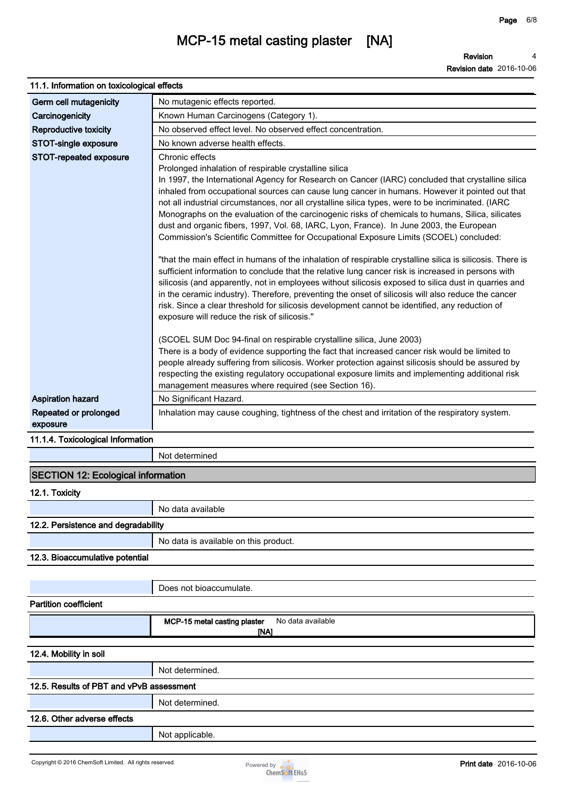**Revision Revision date 2016-10-06 4**

| 11.1. Information on toxicological effects |                                                                                                                                                                                                                                                                                                                                                                                                                                                                                                                                                                                                                                                                                                                                                                                                                                                                                                                                                                                                                                                                                                                                                                                                                                                                                                                                                                                                                                                                                                                                                                                                                                                     |  |
|--------------------------------------------|-----------------------------------------------------------------------------------------------------------------------------------------------------------------------------------------------------------------------------------------------------------------------------------------------------------------------------------------------------------------------------------------------------------------------------------------------------------------------------------------------------------------------------------------------------------------------------------------------------------------------------------------------------------------------------------------------------------------------------------------------------------------------------------------------------------------------------------------------------------------------------------------------------------------------------------------------------------------------------------------------------------------------------------------------------------------------------------------------------------------------------------------------------------------------------------------------------------------------------------------------------------------------------------------------------------------------------------------------------------------------------------------------------------------------------------------------------------------------------------------------------------------------------------------------------------------------------------------------------------------------------------------------------|--|
| Germ cell mutagenicity                     | No mutagenic effects reported.                                                                                                                                                                                                                                                                                                                                                                                                                                                                                                                                                                                                                                                                                                                                                                                                                                                                                                                                                                                                                                                                                                                                                                                                                                                                                                                                                                                                                                                                                                                                                                                                                      |  |
| Carcinogenicity                            | Known Human Carcinogens (Category 1).                                                                                                                                                                                                                                                                                                                                                                                                                                                                                                                                                                                                                                                                                                                                                                                                                                                                                                                                                                                                                                                                                                                                                                                                                                                                                                                                                                                                                                                                                                                                                                                                               |  |
| <b>Reproductive toxicity</b>               | No observed effect level. No observed effect concentration.                                                                                                                                                                                                                                                                                                                                                                                                                                                                                                                                                                                                                                                                                                                                                                                                                                                                                                                                                                                                                                                                                                                                                                                                                                                                                                                                                                                                                                                                                                                                                                                         |  |
| STOT-single exposure                       | No known adverse health effects.                                                                                                                                                                                                                                                                                                                                                                                                                                                                                                                                                                                                                                                                                                                                                                                                                                                                                                                                                                                                                                                                                                                                                                                                                                                                                                                                                                                                                                                                                                                                                                                                                    |  |
| STOT-repeated exposure                     | Chronic effects<br>Prolonged inhalation of respirable crystalline silica<br>In 1997, the International Agency for Research on Cancer (IARC) concluded that crystalline silica<br>inhaled from occupational sources can cause lung cancer in humans. However it pointed out that<br>not all industrial circumstances, nor all crystalline silica types, were to be incriminated. (IARC<br>Monographs on the evaluation of the carcinogenic risks of chemicals to humans, Silica, silicates<br>dust and organic fibers, 1997, Vol. 68, IARC, Lyon, France). In June 2003, the European<br>Commission's Scientific Committee for Occupational Exposure Limits (SCOEL) concluded:<br>"that the main effect in humans of the inhalation of respirable crystalline silica is silicosis. There is<br>sufficient information to conclude that the relative lung cancer risk is increased in persons with<br>silicosis (and apparently, not in employees without silicosis exposed to silica dust in quarries and<br>in the ceramic industry). Therefore, preventing the onset of silicosis will also reduce the cancer<br>risk. Since a clear threshold for silicosis development cannot be identified, any reduction of<br>exposure will reduce the risk of silicosis."<br>(SCOEL SUM Doc 94-final on respirable crystalline silica, June 2003)<br>There is a body of evidence supporting the fact that increased cancer risk would be limited to<br>people already suffering from silicosis. Worker protection against silicosis should be assured by<br>respecting the existing regulatory occupational exposure limits and implementing additional risk |  |
| <b>Aspiration hazard</b>                   | management measures where required (see Section 16).<br>No Significant Hazard.                                                                                                                                                                                                                                                                                                                                                                                                                                                                                                                                                                                                                                                                                                                                                                                                                                                                                                                                                                                                                                                                                                                                                                                                                                                                                                                                                                                                                                                                                                                                                                      |  |
| Repeated or prolonged<br>exposure          | Inhalation may cause coughing, tightness of the chest and irritation of the respiratory system.                                                                                                                                                                                                                                                                                                                                                                                                                                                                                                                                                                                                                                                                                                                                                                                                                                                                                                                                                                                                                                                                                                                                                                                                                                                                                                                                                                                                                                                                                                                                                     |  |

### **11.1.4. Toxicological Information**

**Not determined**

| <b>SECTION 12: Ecological information</b> |                                                           |  |
|-------------------------------------------|-----------------------------------------------------------|--|
| 12.1. Toxicity                            |                                                           |  |
|                                           | No data available                                         |  |
| 12.2. Persistence and degradability       |                                                           |  |
|                                           | No data is available on this product.                     |  |
| 12.3. Bioaccumulative potential           |                                                           |  |
|                                           |                                                           |  |
|                                           | Does not bioaccumulate.                                   |  |
| <b>Partition coefficient</b>              |                                                           |  |
|                                           | MCP-15 metal casting plaster<br>No data available<br>[NA] |  |
| 12.4. Mobility in soil                    |                                                           |  |
|                                           | Not determined.                                           |  |
| 12.5. Results of PBT and vPvB assessment  |                                                           |  |
|                                           | Not determined.                                           |  |
| 12.6. Other adverse effects               |                                                           |  |
|                                           | Not applicable.                                           |  |
|                                           |                                                           |  |

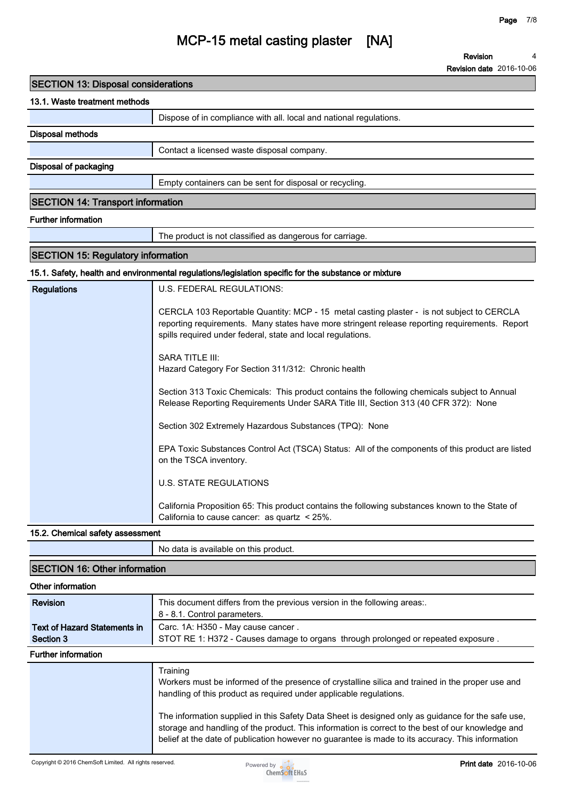**4**

**Revision**

### **MCP-15 metal casting plaster [NA]**

|                                            | <b>Revision date</b> 2016-10-06                                                                                                                               |  |  |  |
|--------------------------------------------|---------------------------------------------------------------------------------------------------------------------------------------------------------------|--|--|--|
| <b>SECTION 13: Disposal considerations</b> |                                                                                                                                                               |  |  |  |
| 13.1. Waste treatment methods              |                                                                                                                                                               |  |  |  |
|                                            | Dispose of in compliance with all. local and national regulations.                                                                                            |  |  |  |
| <b>Disposal methods</b>                    |                                                                                                                                                               |  |  |  |
|                                            | Contact a licensed waste disposal company.                                                                                                                    |  |  |  |
| Disposal of packaging                      |                                                                                                                                                               |  |  |  |
|                                            | Empty containers can be sent for disposal or recycling.                                                                                                       |  |  |  |
| <b>SECTION 14: Transport information</b>   |                                                                                                                                                               |  |  |  |
| <b>Further information</b>                 |                                                                                                                                                               |  |  |  |
|                                            | The product is not classified as dangerous for carriage.                                                                                                      |  |  |  |
| <b>SECTION 15: Regulatory information</b>  |                                                                                                                                                               |  |  |  |
|                                            | 15.1. Safety, health and environmental regulations/legislation specific for the substance or mixture                                                          |  |  |  |
|                                            | U.S. FEDERAL REGULATIONS:                                                                                                                                     |  |  |  |
| <b>Regulations</b>                         |                                                                                                                                                               |  |  |  |
|                                            | CERCLA 103 Reportable Quantity: MCP - 15 metal casting plaster - is not subject to CERCLA                                                                     |  |  |  |
|                                            | reporting requirements. Many states have more stringent release reporting requirements. Report<br>spills required under federal, state and local regulations. |  |  |  |
|                                            |                                                                                                                                                               |  |  |  |
|                                            | <b>SARA TITLE III:</b>                                                                                                                                        |  |  |  |
|                                            | Hazard Category For Section 311/312: Chronic health                                                                                                           |  |  |  |
|                                            | Section 313 Toxic Chemicals: This product contains the following chemicals subject to Annual                                                                  |  |  |  |
|                                            | Release Reporting Requirements Under SARA Title III, Section 313 (40 CFR 372): None                                                                           |  |  |  |
|                                            | Section 302 Extremely Hazardous Substances (TPQ): None                                                                                                        |  |  |  |
|                                            | EPA Toxic Substances Control Act (TSCA) Status: All of the components of this product are listed                                                              |  |  |  |
|                                            | on the TSCA inventory.                                                                                                                                        |  |  |  |
|                                            | <b>U.S. STATE REGULATIONS</b>                                                                                                                                 |  |  |  |
|                                            | California Proposition 65: This product contains the following substances known to the State of<br>California to cause cancer: as quartz < 25%.               |  |  |  |
| 15.2. Chemical safety assessment           |                                                                                                                                                               |  |  |  |
|                                            | No data is available on this product.                                                                                                                         |  |  |  |
| <b>SECTION 16: Other information</b>       |                                                                                                                                                               |  |  |  |
| Other information                          |                                                                                                                                                               |  |  |  |
| <b>Revision</b>                            | This document differs from the previous version in the following areas:.                                                                                      |  |  |  |
|                                            | 8 - 8.1. Control parameters.                                                                                                                                  |  |  |  |
| <b>Text of Hazard Statements in</b>        | Carc. 1A: H350 - May cause cancer.                                                                                                                            |  |  |  |
| Section 3                                  | STOT RE 1: H372 - Causes damage to organs through prolonged or repeated exposure.                                                                             |  |  |  |
| <b>Further information</b>                 |                                                                                                                                                               |  |  |  |
|                                            | Training                                                                                                                                                      |  |  |  |

**Workers must be informed of the presence of crystalline silica and trained in the proper use and handling of this product as required under applicable regulations.**

**The information supplied in this Safety Data Sheet is designed only as guidance for the safe use, storage and handling of the product. This information is correct to the best of our knowledge and belief at the date of publication however no guarantee is made to its accuracy. This information**